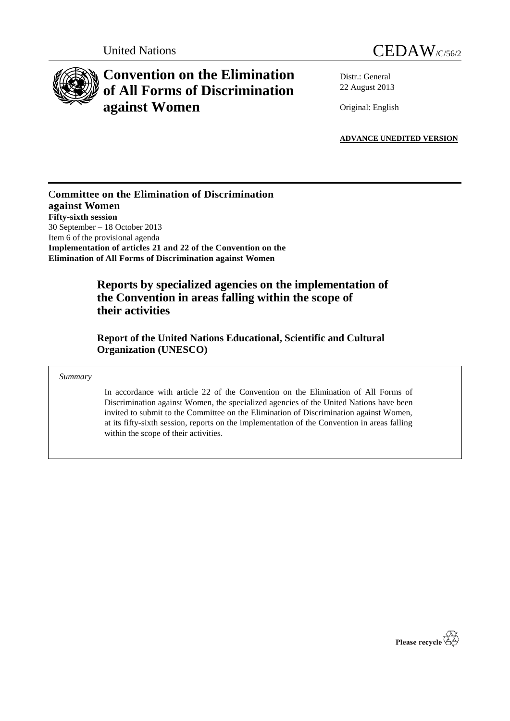



# **Convention on the Elimination of All Forms of Discrimination against Women**

Distr.: General 22 August 2013

Original: English

**ADVANCE UNEDITED VERSION**

### C**ommittee on the Elimination of Discrimination against Women Fifty-sixth session** 30 September – 18 October 2013 Item 6 of the provisional agenda **Implementation of articles 21 and 22 of the Convention on the Elimination of All Forms of Discrimination against Women**

## **Reports by specialized agencies on the implementation of the Convention in areas falling within the scope of their activities**

**Report of the United Nations Educational, Scientific and Cultural Organization (UNESCO)**

*Summary*

In accordance with article 22 of the Convention on the Elimination of All Forms of Discrimination against Women, the specialized agencies of the United Nations have been invited to submit to the Committee on the Elimination of Discrimination against Women, at its fifty-sixth session, reports on the implementation of the Convention in areas falling within the scope of their activities.

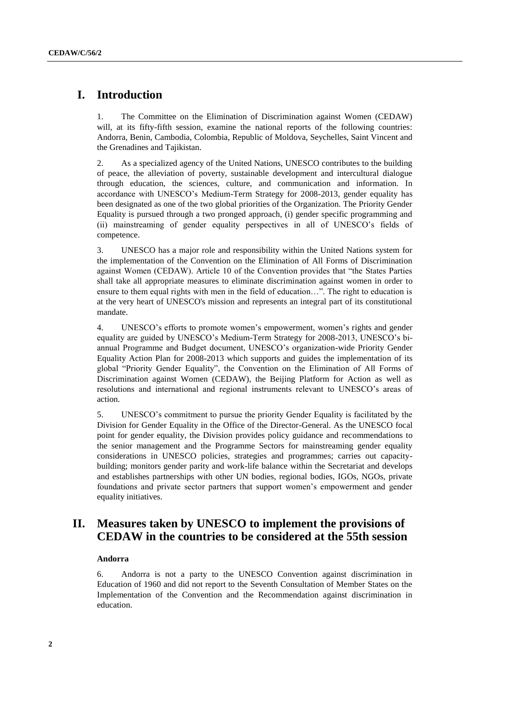### **I. Introduction**

1. The Committee on the Elimination of Discrimination against Women (CEDAW) will, at its fifty-fifth session, examine the national reports of the following countries: Andorra, Benin, Cambodia, Colombia, Republic of Moldova, Seychelles, Saint Vincent and the Grenadines and Tajikistan.

2. As a specialized agency of the United Nations, UNESCO contributes to the building of peace, the alleviation of poverty, sustainable development and intercultural dialogue through education, the sciences, culture, and communication and information. In accordance with UNESCO's Medium-Term Strategy for 2008-2013, gender equality has been designated as one of the two global priorities of the Organization. The Priority Gender Equality is pursued through a two pronged approach, (i) gender specific programming and (ii) mainstreaming of gender equality perspectives in all of UNESCO's fields of competence.

3. UNESCO has a major role and responsibility within the United Nations system for the implementation of the Convention on the Elimination of All Forms of Discrimination against Women (CEDAW). Article 10 of the Convention provides that "the States Parties shall take all appropriate measures to eliminate discrimination against women in order to ensure to them equal rights with men in the field of education…". The right to education is at the very heart of UNESCO's mission and represents an integral part of its constitutional mandate.

4. UNESCO's efforts to promote women's empowerment, women's rights and gender equality are guided by UNESCO's Medium-Term Strategy for 2008-2013, UNESCO's biannual Programme and Budget document, UNESCO's organization-wide Priority Gender Equality Action Plan for 2008-2013 which supports and guides the implementation of its global "Priority Gender Equality", the Convention on the Elimination of All Forms of Discrimination against Women (CEDAW), the Beijing Platform for Action as well as resolutions and international and regional instruments relevant to UNESCO's areas of action.

5. UNESCO's commitment to pursue the priority Gender Equality is facilitated by the Division for Gender Equality in the Office of the Director-General. As the UNESCO focal point for gender equality, the Division provides policy guidance and recommendations to the senior management and the Programme Sectors for mainstreaming gender equality considerations in UNESCO policies, strategies and programmes; carries out capacitybuilding; monitors gender parity and work-life balance within the Secretariat and develops and establishes partnerships with other UN bodies, regional bodies, IGOs, NGOs, private foundations and private sector partners that support women's empowerment and gender equality initiatives.

### **II. Measures taken by UNESCO to implement the provisions of CEDAW in the countries to be considered at the 55th session**

#### **Andorra**

6. Andorra is not a party to the UNESCO Convention against discrimination in Education of 1960 and did not report to the Seventh Consultation of Member States on the Implementation of the Convention and the Recommendation against discrimination in education.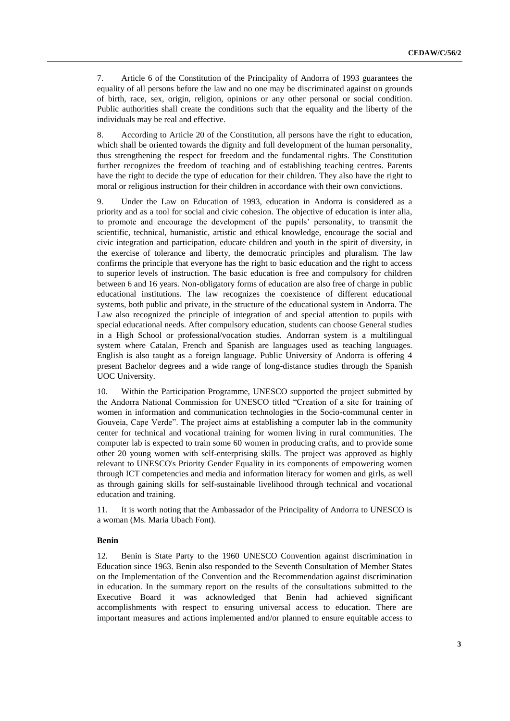7. Article 6 of the Constitution of the Principality of Andorra of 1993 guarantees the equality of all persons before the law and no one may be discriminated against on grounds of birth, race, sex, origin, religion, opinions or any other personal or social condition. Public authorities shall create the conditions such that the equality and the liberty of the individuals may be real and effective.

8. According to Article 20 of the Constitution, all persons have the right to education, which shall be oriented towards the dignity and full development of the human personality, thus strengthening the respect for freedom and the fundamental rights. The Constitution further recognizes the freedom of teaching and of establishing teaching centres. Parents have the right to decide the type of education for their children. They also have the right to moral or religious instruction for their children in accordance with their own convictions.

9. Under the Law on Education of 1993, education in Andorra is considered as a priority and as a tool for social and civic cohesion. The objective of education is inter alia, to promote and encourage the development of the pupils' personality, to transmit the scientific, technical, humanistic, artistic and ethical knowledge, encourage the social and civic integration and participation, educate children and youth in the spirit of diversity, in the exercise of tolerance and liberty, the democratic principles and pluralism. The law confirms the principle that everyone has the right to basic education and the right to access to superior levels of instruction. The basic education is free and compulsory for children between 6 and 16 years. Non-obligatory forms of education are also free of charge in public educational institutions. The law recognizes the coexistence of different educational systems, both public and private, in the structure of the educational system in Andorra. The Law also recognized the principle of integration of and special attention to pupils with special educational needs. After compulsory education, students can choose General studies in a High School or professional/vocation studies. Andorran system is a multilingual system where Catalan, French and Spanish are languages used as teaching languages. English is also taught as a foreign language. Public University of Andorra is offering 4 present Bachelor degrees and a wide range of long-distance studies through the Spanish UOC University.

10. Within the Participation Programme, UNESCO supported the project submitted by the Andorra National Commission for UNESCO titled "Creation of a site for training of women in information and communication technologies in the Socio-communal center in Gouveia, Cape Verde". The project aims at establishing a computer lab in the community center for technical and vocational training for women living in rural communities. The computer lab is expected to train some 60 women in producing crafts, and to provide some other 20 young women with self-enterprising skills. The project was approved as highly relevant to UNESCO's Priority Gender Equality in its components of empowering women through ICT competencies and media and information literacy for women and girls, as well as through gaining skills for self-sustainable livelihood through technical and vocational education and training.

11. It is worth noting that the Ambassador of the Principality of Andorra to UNESCO is a woman (Ms. Maria Ubach Font).

#### **Benin**

12. Benin is State Party to the 1960 UNESCO Convention against discrimination in Education since 1963. Benin also responded to the Seventh Consultation of Member States on the Implementation of the Convention and the Recommendation against discrimination in education. In the summary report on the results of the consultations submitted to the Executive Board it was acknowledged that Benin had achieved significant accomplishments with respect to ensuring universal access to education. There are important measures and actions implemented and/or planned to ensure equitable access to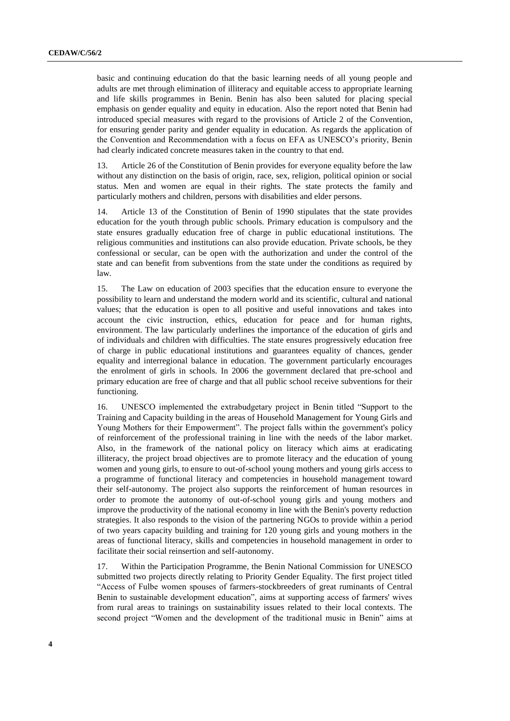basic and continuing education do that the basic learning needs of all young people and adults are met through elimination of illiteracy and equitable access to appropriate learning and life skills programmes in Benin. Benin has also been saluted for placing special emphasis on gender equality and equity in education. Also the report noted that Benin had introduced special measures with regard to the provisions of Article 2 of the Convention, for ensuring gender parity and gender equality in education. As regards the application of the Convention and Recommendation with a focus on EFA as UNESCO's priority, Benin had clearly indicated concrete measures taken in the country to that end.

13. Article 26 of the Constitution of Benin provides for everyone equality before the law without any distinction on the basis of origin, race, sex, religion, political opinion or social status. Men and women are equal in their rights. The state protects the family and particularly mothers and children, persons with disabilities and elder persons.

14. Article 13 of the Constitution of Benin of 1990 stipulates that the state provides education for the youth through public schools. Primary education is compulsory and the state ensures gradually education free of charge in public educational institutions. The religious communities and institutions can also provide education. Private schools, be they confessional or secular, can be open with the authorization and under the control of the state and can benefit from subventions from the state under the conditions as required by law.

15. The Law on education of 2003 specifies that the education ensure to everyone the possibility to learn and understand the modern world and its scientific, cultural and national values; that the education is open to all positive and useful innovations and takes into account the civic instruction, ethics, education for peace and for human rights, environment. The law particularly underlines the importance of the education of girls and of individuals and children with difficulties. The state ensures progressively education free of charge in public educational institutions and guarantees equality of chances, gender equality and interregional balance in education. The government particularly encourages the enrolment of girls in schools. In 2006 the government declared that pre-school and primary education are free of charge and that all public school receive subventions for their functioning.

16. UNESCO implemented the extrabudgetary project in Benin titled "Support to the Training and Capacity building in the areas of Household Management for Young Girls and Young Mothers for their Empowerment". The project falls within the government's policy of reinforcement of the professional training in line with the needs of the labor market. Also, in the framework of the national policy on literacy which aims at eradicating illiteracy, the project broad objectives are to promote literacy and the education of young women and young girls, to ensure to out-of-school young mothers and young girls access to a programme of functional literacy and competencies in household management toward their self-autonomy. The project also supports the reinforcement of human resources in order to promote the autonomy of out-of-school young girls and young mothers and improve the productivity of the national economy in line with the Benin's poverty reduction strategies. It also responds to the vision of the partnering NGOs to provide within a period of two years capacity building and training for 120 young girls and young mothers in the areas of functional literacy, skills and competencies in household management in order to facilitate their social reinsertion and self-autonomy.

17. Within the Participation Programme, the Benin National Commission for UNESCO submitted two projects directly relating to Priority Gender Equality. The first project titled "Access of Fulbe women spouses of farmers-stockbreeders of great ruminants of Central Benin to sustainable development education", aims at supporting access of farmers' wives from rural areas to trainings on sustainability issues related to their local contexts. The second project "Women and the development of the traditional music in Benin" aims at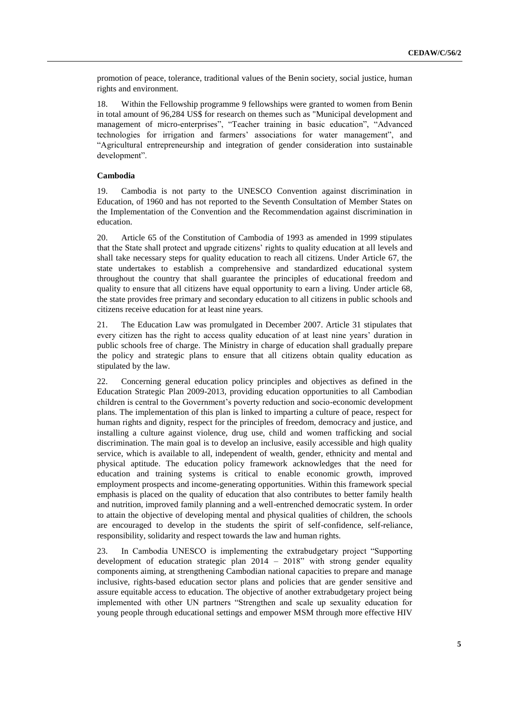promotion of peace, tolerance, traditional values of the Benin society, social justice, human rights and environment.

18. Within the Fellowship programme 9 fellowships were granted to women from Benin in total amount of 96,284 US\$ for research on themes such as "Municipal development and management of micro-enterprises", "Teacher training in basic education", "Advanced technologies for irrigation and farmers' associations for water management", and "Agricultural entrepreneurship and integration of gender consideration into sustainable development".

#### **Cambodia**

19. Cambodia is not party to the UNESCO Convention against discrimination in Education, of 1960 and has not reported to the Seventh Consultation of Member States on the Implementation of the Convention and the Recommendation against discrimination in education.

20. Article 65 of the Constitution of Cambodia of 1993 as amended in 1999 stipulates that the State shall protect and upgrade citizens' rights to quality education at all levels and shall take necessary steps for quality education to reach all citizens. Under Article 67, the state undertakes to establish a comprehensive and standardized educational system throughout the country that shall guarantee the principles of educational freedom and quality to ensure that all citizens have equal opportunity to earn a living. Under article 68, the state provides free primary and secondary education to all citizens in public schools and citizens receive education for at least nine years.

21. The Education Law was promulgated in December 2007. Article 31 stipulates that every citizen has the right to access quality education of at least nine years' duration in public schools free of charge. The Ministry in charge of education shall gradually prepare the policy and strategic plans to ensure that all citizens obtain quality education as stipulated by the law.

22. Concerning general education policy principles and objectives as defined in the Education Strategic Plan 2009-2013, providing education opportunities to all Cambodian children is central to the Government's poverty reduction and socio-economic development plans. The implementation of this plan is linked to imparting a culture of peace, respect for human rights and dignity, respect for the principles of freedom, democracy and justice, and installing a culture against violence, drug use, child and women trafficking and social discrimination. The main goal is to develop an inclusive, easily accessible and high quality service, which is available to all, independent of wealth, gender, ethnicity and mental and physical aptitude. The education policy framework acknowledges that the need for education and training systems is critical to enable economic growth, improved employment prospects and income-generating opportunities. Within this framework special emphasis is placed on the quality of education that also contributes to better family health and nutrition, improved family planning and a well-entrenched democratic system. In order to attain the objective of developing mental and physical qualities of children, the schools are encouraged to develop in the students the spirit of self-confidence, self-reliance, responsibility, solidarity and respect towards the law and human rights.

23. In Cambodia UNESCO is implementing the extrabudgetary project "Supporting development of education strategic plan 2014 – 2018" with strong gender equality components aiming, at strengthening Cambodian national capacities to prepare and manage inclusive, rights-based education sector plans and policies that are gender sensitive and assure equitable access to education. The objective of another extrabudgetary project being implemented with other UN partners "Strengthen and scale up sexuality education for young people through educational settings and empower MSM through more effective HIV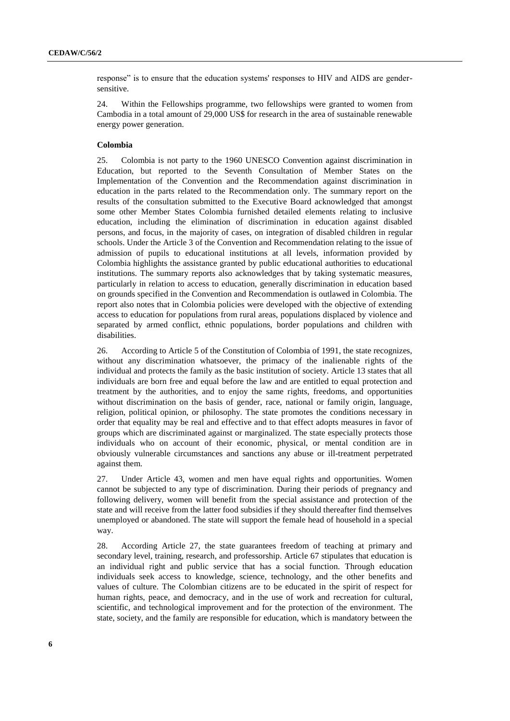response" is to ensure that the education systems' responses to HIV and AIDS are gendersensitive.

24. Within the Fellowships programme, two fellowships were granted to women from Cambodia in a total amount of 29,000 US\$ for research in the area of sustainable renewable energy power generation.

#### **Colombia**

25. Colombia is not party to the 1960 UNESCO Convention against discrimination in Education, but reported to the Seventh Consultation of Member States on the Implementation of the Convention and the Recommendation against discrimination in education in the parts related to the Recommendation only. The summary report on the results of the consultation submitted to the Executive Board acknowledged that amongst some other Member States Colombia furnished detailed elements relating to inclusive education, including the elimination of discrimination in education against disabled persons, and focus, in the majority of cases, on integration of disabled children in regular schools. Under the Article 3 of the Convention and Recommendation relating to the issue of admission of pupils to educational institutions at all levels, information provided by Colombia highlights the assistance granted by public educational authorities to educational institutions. The summary reports also acknowledges that by taking systematic measures, particularly in relation to access to education, generally discrimination in education based on grounds specified in the Convention and Recommendation is outlawed in Colombia. The report also notes that in Colombia policies were developed with the objective of extending access to education for populations from rural areas, populations displaced by violence and separated by armed conflict, ethnic populations, border populations and children with disabilities.

26. According to Article 5 of the Constitution of Colombia of 1991, the state recognizes, without any discrimination whatsoever, the primacy of the inalienable rights of the individual and protects the family as the basic institution of society. Article 13 states that all individuals are born free and equal before the law and are entitled to equal protection and treatment by the authorities, and to enjoy the same rights, freedoms, and opportunities without discrimination on the basis of gender, race, national or family origin, language, religion, political opinion, or philosophy. The state promotes the conditions necessary in order that equality may be real and effective and to that effect adopts measures in favor of groups which are discriminated against or marginalized. The state especially protects those individuals who on account of their economic, physical, or mental condition are in obviously vulnerable circumstances and sanctions any abuse or ill-treatment perpetrated against them.

27. Under Article 43, women and men have equal rights and opportunities. Women cannot be subjected to any type of discrimination. During their periods of pregnancy and following delivery, women will benefit from the special assistance and protection of the state and will receive from the latter food subsidies if they should thereafter find themselves unemployed or abandoned. The state will support the female head of household in a special way.

28. According Article 27, the state guarantees freedom of teaching at primary and secondary level, training, research, and professorship. Article 67 stipulates that education is an individual right and public service that has a social function. Through education individuals seek access to knowledge, science, technology, and the other benefits and values of culture. The Colombian citizens are to be educated in the spirit of respect for human rights, peace, and democracy, and in the use of work and recreation for cultural, scientific, and technological improvement and for the protection of the environment. The state, society, and the family are responsible for education, which is mandatory between the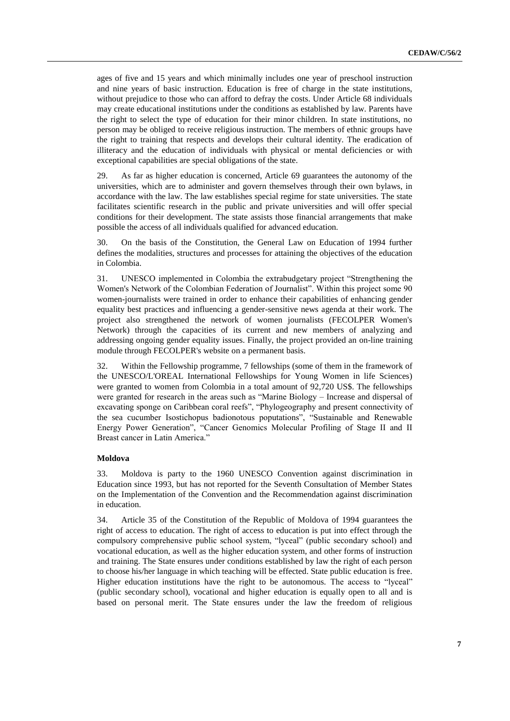ages of five and 15 years and which minimally includes one year of preschool instruction and nine years of basic instruction. Education is free of charge in the state institutions, without prejudice to those who can afford to defray the costs. Under Article 68 individuals may create educational institutions under the conditions as established by law. Parents have the right to select the type of education for their minor children. In state institutions, no person may be obliged to receive religious instruction. The members of ethnic groups have the right to training that respects and develops their cultural identity. The eradication of illiteracy and the education of individuals with physical or mental deficiencies or with exceptional capabilities are special obligations of the state.

29. As far as higher education is concerned, Article 69 guarantees the autonomy of the universities, which are to administer and govern themselves through their own bylaws, in accordance with the law. The law establishes special regime for state universities. The state facilitates scientific research in the public and private universities and will offer special conditions for their development. The state assists those financial arrangements that make possible the access of all individuals qualified for advanced education.

30. On the basis of the Constitution, the General Law on Education of 1994 further defines the modalities, structures and processes for attaining the objectives of the education in Colombia.

31. UNESCO implemented in Colombia the extrabudgetary project "Strengthening the Women's Network of the Colombian Federation of Journalist". Within this project some 90 women-journalists were trained in order to enhance their capabilities of enhancing gender equality best practices and influencing a gender-sensitive news agenda at their work. The project also strengthened the network of women journalists (FECOLPER Women's Network) through the capacities of its current and new members of analyzing and addressing ongoing gender equality issues. Finally, the project provided an on-line training module through FECOLPER's website on a permanent basis.

32. Within the Fellowship programme, 7 fellowships (some of them in the framework of the UNESCO/L'OREAL International Fellowships for Young Women in life Sciences) were granted to women from Colombia in a total amount of 92,720 US\$. The fellowships were granted for research in the areas such as "Marine Biology – Increase and dispersal of excavating sponge on Caribbean coral reefs", "Phylogeography and present connectivity of the sea cucumber Isostichopus badionotous poputations", "Sustainable and Renewable Energy Power Generation", "Cancer Genomics Molecular Profiling of Stage II and II Breast cancer in Latin America."

#### **Moldova**

33. Moldova is party to the 1960 UNESCO Convention against discrimination in Education since 1993, but has not reported for the Seventh Consultation of Member States on the Implementation of the Convention and the Recommendation against discrimination in education.

34. Article 35 of the Constitution of the Republic of Moldova of 1994 guarantees the right of access to education. The right of access to education is put into effect through the compulsory comprehensive public school system, "lyceal" (public secondary school) and vocational education, as well as the higher education system, and other forms of instruction and training. The State ensures under conditions established by law the right of each person to choose his/her language in which teaching will be effected. State public education is free. Higher education institutions have the right to be autonomous. The access to "lyceal" (public secondary school), vocational and higher education is equally open to all and is based on personal merit. The State ensures under the law the freedom of religious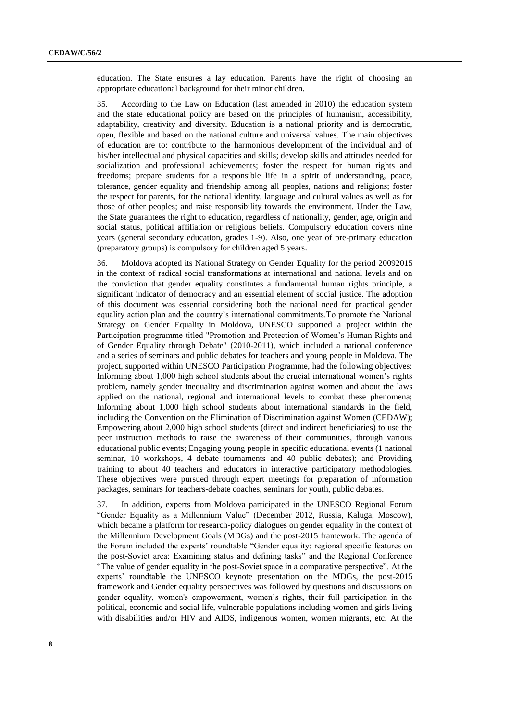education. The State ensures a lay education. Parents have the right of choosing an appropriate educational background for their minor children.

35. According to the Law on Education (last amended in 2010) the education system and the state educational policy are based on the principles of humanism, accessibility, adaptability, creativity and diversity. Education is a national priority and is democratic, open, flexible and based on the national culture and universal values. The main objectives of education are to: contribute to the harmonious development of the individual and of his/her intellectual and physical capacities and skills; develop skills and attitudes needed for socialization and professional achievements; foster the respect for human rights and freedoms; prepare students for a responsible life in a spirit of understanding, peace, tolerance, gender equality and friendship among all peoples, nations and religions; foster the respect for parents, for the national identity, language and cultural values as well as for those of other peoples; and raise responsibility towards the environment. Under the Law, the State guarantees the right to education, regardless of nationality, gender, age, origin and social status, political affiliation or religious beliefs. Compulsory education covers nine years (general secondary education, grades 1-9). Also, one year of pre-primary education (preparatory groups) is compulsory for children aged 5 years.

36. Moldova adopted its National Strategy on Gender Equality for the period 20092015 in the context of radical social transformations at international and national levels and on the conviction that gender equality constitutes a fundamental human rights principle, a significant indicator of democracy and an essential element of social justice. The adoption of this document was essential considering both the national need for practical gender equality action plan and the country's international commitments.To promote the National Strategy on Gender Equality in Moldova, UNESCO supported a project within the Participation programme titled "Promotion and Protection of Women's Human Rights and of Gender Equality through Debate" (2010-2011), which included a national conference and a series of seminars and public debates for teachers and young people in Moldova. The project, supported within UNESCO Participation Programme, had the following objectives: Informing about 1,000 high school students about the crucial international women's rights problem, namely gender inequality and discrimination against women and about the laws applied on the national, regional and international levels to combat these phenomena; Informing about 1,000 high school students about international standards in the field, including the Convention on the Elimination of Discrimination against Women (CEDAW); Empowering about 2,000 high school students (direct and indirect beneficiaries) to use the peer instruction methods to raise the awareness of their communities, through various educational public events; Engaging young people in specific educational events (1 national seminar, 10 workshops, 4 debate tournaments and 40 public debates); and Providing training to about 40 teachers and educators in interactive participatory methodologies. These objectives were pursued through expert meetings for preparation of information packages, seminars for teachers-debate coaches, seminars for youth, public debates.

37. In addition, experts from Moldova participated in the UNESCO Regional Forum "Gender Equality as a Millennium Value" (December 2012, Russia, Kaluga, Moscow), which became a platform for research-policy dialogues on gender equality in the context of the Millennium Development Goals (MDGs) and the post-2015 framework. The agenda of the Forum included the experts' roundtable "Gender equality: regional specific features on the post-Soviet area: Examining status and defining tasks" and the Regional Conference "The value of gender equality in the post-Soviet space in a comparative perspective". At the experts' roundtable the UNESCO keynote presentation on the MDGs, the post-2015 framework and Gender equality perspectives was followed by questions and discussions on gender equality, women's empowerment, women's rights, their full participation in the political, economic and social life, vulnerable populations including women and girls living with disabilities and/or HIV and AIDS, indigenous women, women migrants, etc. At the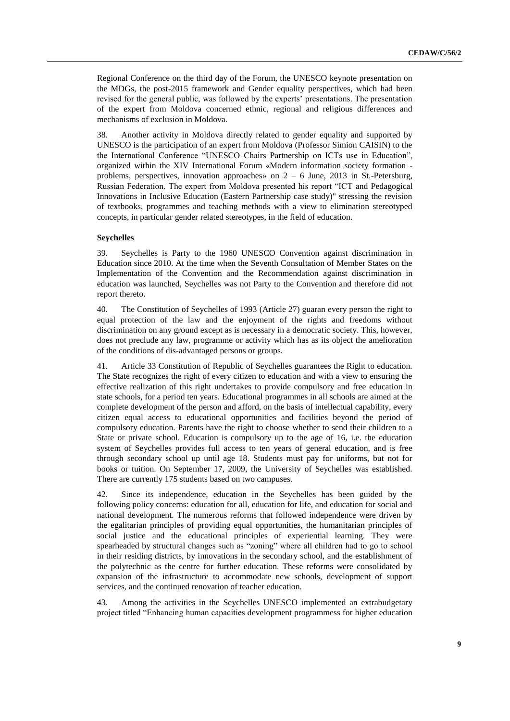Regional Conference on the third day of the Forum, the UNESCO keynote presentation on the MDGs, the post-2015 framework and Gender equality perspectives, which had been revised for the general public, was followed by the experts' presentations. The presentation of the expert from Moldova concerned ethnic, regional and religious differences and mechanisms of exclusion in Moldova.

38. Another activity in Moldova directly related to gender equality and supported by UNESCO is the participation of an expert from Moldova (Professor Simion CAISIN) to the the International Conference "UNESCO Chairs Partnership on ICTs use in Education", organized within the XIV International Forum «Modern information society formation problems, perspectives, innovation approaches» on  $2 - 6$  June, 2013 in St.-Petersburg, Russian Federation. The expert from Moldova presented his report "ICT and Pedagogical Innovations in Inclusive Education (Eastern Partnership case study)" stressing the revision of textbooks, programmes and teaching methods with a view to elimination stereotyped concepts, in particular gender related stereotypes, in the field of education.

#### **Seychelles**

39. Seychelles is Party to the 1960 UNESCO Convention against discrimination in Education since 2010. At the time when the Seventh Consultation of Member States on the Implementation of the Convention and the Recommendation against discrimination in education was launched, Seychelles was not Party to the Convention and therefore did not report thereto.

40. The Constitution of Seychelles of 1993 (Article 27) guaran every person the right to equal protection of the law and the enjoyment of the rights and freedoms without discrimination on any ground except as is necessary in a democratic society. This, however, does not preclude any law, programme or activity which has as its object the amelioration of the conditions of dis-advantaged persons or groups.

41. Article 33 Constitution of Republic of Seychelles guarantees the Right to education. The State recognizes the right of every citizen to education and with a view to ensuring the effective realization of this right undertakes to provide compulsory and free education in state schools, for a period ten years. Educational programmes in all schools are aimed at the complete development of the person and afford, on the basis of intellectual capability, every citizen equal access to educational opportunities and facilities beyond the period of compulsory education. Parents have the right to choose whether to send their children to a State or private school. Education is compulsory up to the age of 16, i.e. the education system of Seychelles provides full access to ten years of general education, and is free through secondary school up until age 18. Students must pay for uniforms, but not for books or tuition. On September 17, 2009, the University of Seychelles was established. There are currently 175 students based on two campuses.

42. Since its independence, education in the Seychelles has been guided by the following policy concerns: education for all, education for life, and education for social and national development. The numerous reforms that followed independence were driven by the egalitarian principles of providing equal opportunities, the humanitarian principles of social justice and the educational principles of experiential learning. They were spearheaded by structural changes such as "zoning" where all children had to go to school in their residing districts, by innovations in the secondary school, and the establishment of the polytechnic as the centre for further education. These reforms were consolidated by expansion of the infrastructure to accommodate new schools, development of support services, and the continued renovation of teacher education.

43. Among the activities in the Seychelles UNESCO implemented an extrabudgetary project titled "Enhancing human capacities development programmess for higher education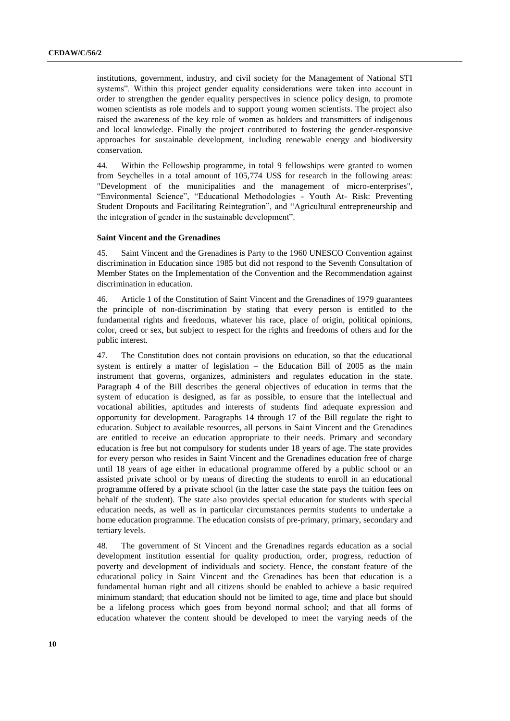institutions, government, industry, and civil society for the Management of National STI systems". Within this project gender equality considerations were taken into account in order to strengthen the gender equality perspectives in science policy design, to promote women scientists as role models and to support young women scientists. The project also raised the awareness of the key role of women as holders and transmitters of indigenous and local knowledge. Finally the project contributed to fostering the gender-responsive approaches for sustainable development, including renewable energy and biodiversity conservation.

44. Within the Fellowship programme, in total 9 fellowships were granted to women from Seychelles in a total amount of 105,774 US\$ for research in the following areas: "Development of the municipalities and the management of micro-enterprises", "Environmental Science", "Educational Methodologies - Youth At- Risk: Preventing Student Dropouts and Facilitating Reintegration", and "Agricultural entrepreneurship and the integration of gender in the sustainable development".

#### **Saint Vincent and the Grenadines**

45. Saint Vincent and the Grenadines is Party to the 1960 UNESCO Convention against discrimination in Education since 1985 but did not respond to the Seventh Consultation of Member States on the Implementation of the Convention and the Recommendation against discrimination in education.

46. Article 1 of the Constitution of Saint Vincent and the Grenadines of 1979 guarantees the principle of non-discrimination by stating that every person is entitled to the fundamental rights and freedoms, whatever his race, place of origin, political opinions, color, creed or sex, but subject to respect for the rights and freedoms of others and for the public interest.

47. The Constitution does not contain provisions on education, so that the educational system is entirely a matter of legislation – the Education Bill of 2005 as the main instrument that governs, organizes, administers and regulates education in the state. Paragraph 4 of the Bill describes the general objectives of education in terms that the system of education is designed, as far as possible, to ensure that the intellectual and vocational abilities, aptitudes and interests of students find adequate expression and opportunity for development. Paragraphs 14 through 17 of the Bill regulate the right to education. Subject to available resources, all persons in Saint Vincent and the Grenadines are entitled to receive an education appropriate to their needs. Primary and secondary education is free but not compulsory for students under 18 years of age. The state provides for every person who resides in Saint Vincent and the Grenadines education free of charge until 18 years of age either in educational programme offered by a public school or an assisted private school or by means of directing the students to enroll in an educational programme offered by a private school (in the latter case the state pays the tuition fees on behalf of the student). The state also provides special education for students with special education needs, as well as in particular circumstances permits students to undertake a home education programme. The education consists of pre-primary, primary, secondary and tertiary levels.

48. The government of St Vincent and the Grenadines regards education as a social development institution essential for quality production, order, progress, reduction of poverty and development of individuals and society. Hence, the constant feature of the educational policy in Saint Vincent and the Grenadines has been that education is a fundamental human right and all citizens should be enabled to achieve a basic required minimum standard; that education should not be limited to age, time and place but should be a lifelong process which goes from beyond normal school; and that all forms of education whatever the content should be developed to meet the varying needs of the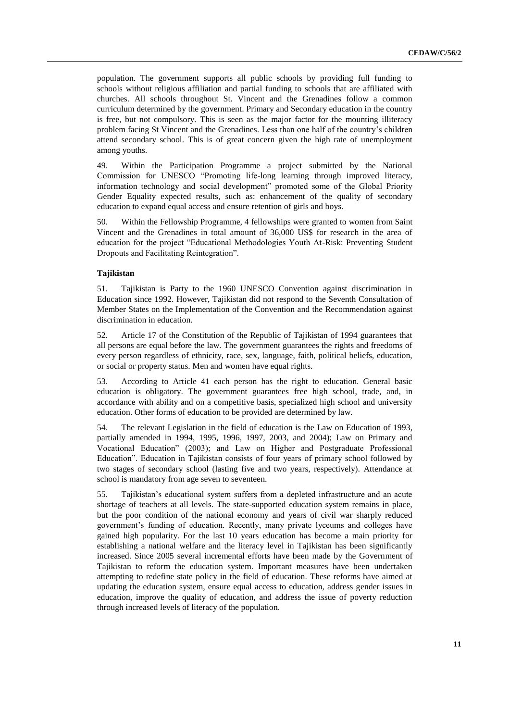population. The government supports all public schools by providing full funding to schools without religious affiliation and partial funding to schools that are affiliated with churches. All schools throughout St. Vincent and the Grenadines follow a common curriculum determined by the government. Primary and Secondary education in the country is free, but not compulsory. This is seen as the major factor for the mounting illiteracy problem facing St Vincent and the Grenadines. Less than one half of the country's children attend secondary school. This is of great concern given the high rate of unemployment among youths.

49. Within the Participation Programme a project submitted by the National Commission for UNESCO "Promoting life-long learning through improved literacy, information technology and social development" promoted some of the Global Priority Gender Equality expected results, such as: enhancement of the quality of secondary education to expand equal access and ensure retention of girls and boys.

50. Within the Fellowship Programme, 4 fellowships were granted to women from Saint Vincent and the Grenadines in total amount of 36,000 US\$ for research in the area of education for the project "Educational Methodologies Youth At-Risk: Preventing Student Dropouts and Facilitating Reintegration".

#### **Tajikistan**

51. Tajikistan is Party to the 1960 UNESCO Convention against discrimination in Education since 1992. However, Tajikistan did not respond to the Seventh Consultation of Member States on the Implementation of the Convention and the Recommendation against discrimination in education.

52. Article 17 of the Constitution of the Republic of Tajikistan of 1994 guarantees that all persons are equal before the law. The government guarantees the rights and freedoms of every person regardless of ethnicity, race, sex, language, faith, political beliefs, education, or social or property status. Men and women have equal rights.

53. According to Article 41 each person has the right to education. General basic education is obligatory. The government guarantees free high school, trade, and, in accordance with ability and on a competitive basis, specialized high school and university education. Other forms of education to be provided are determined by law.

54. The relevant Legislation in the field of education is the Law on Education of 1993, partially amended in 1994, 1995, 1996, 1997, 2003, and 2004); Law on Primary and Vocational Education" (2003); and Law on Higher and Postgraduate Professional Education". Education in Tajikistan consists of four years of primary school followed by two stages of secondary school (lasting five and two years, respectively). Attendance at school is mandatory from age seven to seventeen.

55. Tajikistan's educational system suffers from a depleted infrastructure and an acute shortage of teachers at all levels. The state-supported education system remains in place, but the poor condition of the national economy and years of civil war sharply reduced government's funding of education. Recently, many private lyceums and colleges have gained high popularity. For the last 10 years education has become a main priority for establishing a national welfare and the literacy level in Tajikistan has been significantly increased. Since 2005 several incremental efforts have been made by the Government of Tajikistan to reform the education system. Important measures have been undertaken attempting to redefine state policy in the field of education. These reforms have aimed at updating the education system, ensure equal access to education, address gender issues in education, improve the quality of education, and address the issue of poverty reduction through increased levels of literacy of the population.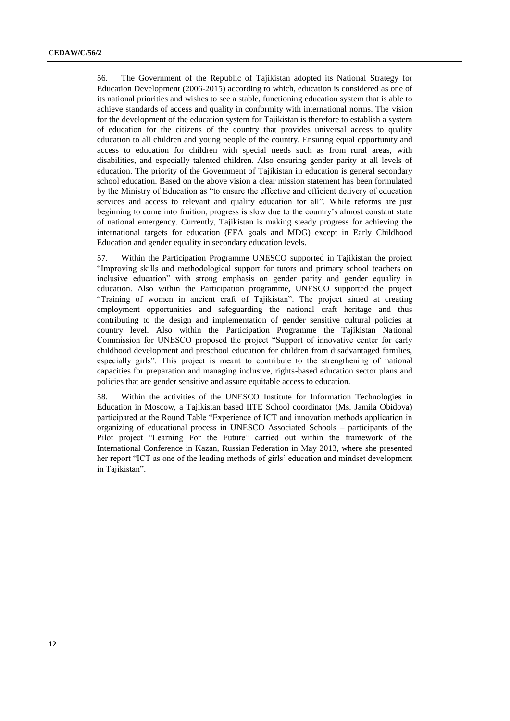56. The Government of the Republic of Tajikistan adopted its National Strategy for Education Development (2006-2015) according to which, education is considered as one of its national priorities and wishes to see a stable, functioning education system that is able to achieve standards of access and quality in conformity with international norms. The vision for the development of the education system for Tajikistan is therefore to establish a system of education for the citizens of the country that provides universal access to quality education to all children and young people of the country. Ensuring equal opportunity and access to education for children with special needs such as from rural areas, with disabilities, and especially talented children. Also ensuring gender parity at all levels of education. The priority of the Government of Tajikistan in education is general secondary school education. Based on the above vision a clear mission statement has been formulated by the Ministry of Education as "to ensure the effective and efficient delivery of education services and access to relevant and quality education for all". While reforms are just beginning to come into fruition, progress is slow due to the country's almost constant state of national emergency. Currently, Tajikistan is making steady progress for achieving the international targets for education (EFA goals and MDG) except in Early Childhood Education and gender equality in secondary education levels.

57. Within the Participation Programme UNESCO supported in Tajikistan the project "Improving skills and methodological support for tutors and primary school teachers on inclusive education" with strong emphasis on gender parity and gender equality in education. Also within the Participation programme, UNESCO supported the project "Training of women in ancient craft of Tajikistan". The project aimed at creating employment opportunities and safeguarding the national craft heritage and thus contributing to the design and implementation of gender sensitive cultural policies at country level. Also within the Participation Programme the Tajikistan National Commission for UNESCO proposed the project "Support of innovative center for early childhood development and preschool education for children from disadvantaged families, especially girls". This project is meant to contribute to the strengthening of national capacities for preparation and managing inclusive, rights-based education sector plans and policies that are gender sensitive and assure equitable access to education.

58. Within the activities of the UNESCO Institute for Information Technologies in Education in Moscow, a Tajikistan based IITE School coordinator (Ms. Jamila Obidova) participated at the Round Table "Experience of ICT and innovation methods application in organizing of educational process in UNESCO Associated Schools – participants of the Pilot project "Learning For the Future" carried out within the framework of the International Conference in Kazan, Russian Federation in May 2013, where she presented her report "ICT as one of the leading methods of girls' education and mindset development in Tajikistan".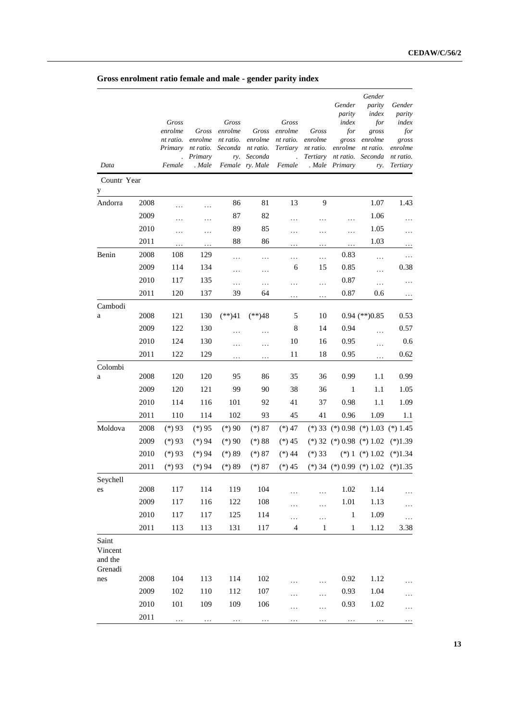**Gross enrolment ratio female and male - gender parity index**

|                                        |      | Gross<br>enrolme<br>nt ratio.<br>Primary | Gross<br>enrolme<br>nt ratio.<br>Primary | Gross<br>enrolme<br>nt ratio.<br>Seconda<br>ry. | Gross<br>enrolme<br>nt ratio.<br>Seconda | Gross<br>enrolme<br>nt ratio.<br>Tertiary<br>$\ddot{\phantom{a}}$ | Gross<br>enrolme<br>nt ratio. | Gender<br>parity<br>index<br>for<br>gross<br>enrolme<br>Tertiary nt ratio. | Gender<br>parity<br>index<br>for<br>gross<br>enrolme<br>nt ratio.<br>Seconda | Gender<br>parity<br>index<br>for<br>gross<br>enrolme<br>nt ratio. |
|----------------------------------------|------|------------------------------------------|------------------------------------------|-------------------------------------------------|------------------------------------------|-------------------------------------------------------------------|-------------------------------|----------------------------------------------------------------------------|------------------------------------------------------------------------------|-------------------------------------------------------------------|
| Data                                   |      | Female                                   | . Male                                   |                                                 | Female ry. Male                          | Female                                                            |                               | . Male Primary                                                             | ry.                                                                          | <b>Tertiary</b>                                                   |
| Countr Year                            |      |                                          |                                          |                                                 |                                          |                                                                   |                               |                                                                            |                                                                              |                                                                   |
| y                                      |      |                                          |                                          |                                                 |                                          |                                                                   |                               |                                                                            |                                                                              |                                                                   |
| Andorra                                | 2008 | .                                        | .                                        | 86                                              | 81                                       | 13                                                                | 9                             |                                                                            | 1.07                                                                         | 1.43                                                              |
|                                        | 2009 |                                          | .                                        | 87                                              | 82                                       | .                                                                 | .                             | .                                                                          | 1.06                                                                         | $\cdots$                                                          |
|                                        | 2010 | .                                        | .                                        | 89                                              | 85                                       | .                                                                 | .                             | $\cdots$                                                                   | 1.05                                                                         | $\cdots$                                                          |
|                                        | 2011 |                                          | .                                        | 88                                              | 86                                       | .                                                                 | .                             | $\cdots$                                                                   | 1.03                                                                         | $\cdots$                                                          |
| Benin                                  | 2008 | 108                                      | 129                                      | .                                               | .                                        | .                                                                 | .                             | 0.83                                                                       | $\cdots$                                                                     | $\cdots$                                                          |
|                                        | 2009 | 114                                      | 134                                      | .                                               | .                                        | 6                                                                 | 15                            | 0.85                                                                       | .                                                                            | 0.38                                                              |
|                                        | 2010 | 117                                      | 135                                      | .                                               | .                                        | .                                                                 | .                             | 0.87                                                                       | .                                                                            | .                                                                 |
|                                        | 2011 | 120                                      | 137                                      | 39                                              | 64                                       |                                                                   |                               | 0.87                                                                       | 0.6                                                                          | $\ldots$                                                          |
| Cambodi                                | 2008 | 121                                      | 130                                      | $(**)41$                                        | $(**)48$                                 | 5                                                                 | 10                            |                                                                            | $0.94$ (**) $0.85$                                                           | 0.53                                                              |
| a                                      | 2009 | 122                                      | 130                                      |                                                 |                                          | 8                                                                 | 14                            | 0.94                                                                       |                                                                              | 0.57                                                              |
|                                        | 2010 | 124                                      | 130                                      |                                                 | .                                        | 10                                                                |                               | 0.95                                                                       | $\cdots$                                                                     |                                                                   |
|                                        | 2011 | 122                                      | 129                                      | .                                               | .                                        | 11                                                                | 16<br>18                      | 0.95                                                                       | $\cdots$                                                                     | 0.6<br>0.62                                                       |
|                                        |      |                                          |                                          | .                                               | .                                        |                                                                   |                               |                                                                            | .                                                                            |                                                                   |
| Colombi<br>a                           | 2008 | 120                                      | 120                                      | 95                                              | 86                                       | 35                                                                | 36                            | 0.99                                                                       | 1.1                                                                          | 0.99                                                              |
|                                        | 2009 | 120                                      | 121                                      | 99                                              | 90                                       | 38                                                                | 36                            | $\mathbf{1}$                                                               | 1.1                                                                          | 1.05                                                              |
|                                        | 2010 | 114                                      | 116                                      | 101                                             | 92                                       | 41                                                                | 37                            | 0.98                                                                       | 1.1                                                                          | 1.09                                                              |
|                                        | 2011 | 110                                      | 114                                      | 102                                             | 93                                       | 45                                                                | 41                            | 0.96                                                                       | 1.09                                                                         | 1.1                                                               |
| Moldova                                | 2008 | $(*)$ 93                                 | $(*)95$                                  | $(*)90$                                         | $(*) 87$                                 | $(*) 47$                                                          |                               |                                                                            | $(*) 33 (*) 0.98 (*) 1.03 (*) 1.45$                                          |                                                                   |
|                                        | 2009 | $(*)93$                                  | $(*)94$                                  | $(*)90$                                         | $(*) 88$                                 | $(*) 45$                                                          |                               |                                                                            | $(*) 32 (*) 0.98 (*) 1.02$                                                   | $(*)1.39$                                                         |
|                                        | 2010 | $(*)$ 93                                 | $(*)94$                                  | $(*) 89$                                        | $(*) 87$                                 | $(*) 44$                                                          | $(*)33$                       |                                                                            | $(*) 1 (*) 1.02$                                                             | $(*)1.34$                                                         |
|                                        | 2011 | $(*)93$                                  | $(*)94$                                  | $(*) 89$                                        | $(*) 87$                                 | $(*) 45$                                                          |                               |                                                                            | $(*) 34 (*) 0.99 (*) 1.02$                                                   | $(*)1.35$                                                         |
| Seychell                               |      |                                          |                                          |                                                 |                                          |                                                                   |                               |                                                                            |                                                                              |                                                                   |
| es                                     | 2008 | 117                                      | 114                                      | 119                                             | 104                                      |                                                                   |                               | 1.02                                                                       | 1.14                                                                         |                                                                   |
|                                        | 2009 | 117                                      | 116                                      | 122                                             | 108                                      | .                                                                 | .                             | 1.01                                                                       | 1.13                                                                         | .                                                                 |
|                                        | 2010 | 117                                      | 117                                      | 125                                             | 114                                      | .                                                                 | $\cdots$                      | 1                                                                          | 1.09                                                                         | .                                                                 |
|                                        | 2011 | 113                                      | 113                                      | 131                                             | 117                                      | $\overline{4}$                                                    | $\mathbf{1}$                  | $\mathbf{1}$                                                               | 1.12                                                                         | 3.38                                                              |
| Saint<br>Vincent<br>and the<br>Grenadi |      |                                          |                                          |                                                 |                                          |                                                                   |                               |                                                                            |                                                                              |                                                                   |
| nes                                    | 2008 | 104                                      | 113                                      | 114                                             | 102                                      |                                                                   | .                             | 0.92                                                                       | 1.12                                                                         |                                                                   |
|                                        | 2009 | 102                                      | 110                                      | 112                                             | 107                                      | .                                                                 | .                             | 0.93                                                                       | 1.04                                                                         |                                                                   |
|                                        | 2010 | 101                                      | 109                                      | 109                                             | 106                                      | .                                                                 | .                             | 0.93                                                                       | 1.02                                                                         | .                                                                 |
|                                        | 2011 | .                                        |                                          |                                                 | $\ldots$                                 |                                                                   |                               |                                                                            |                                                                              |                                                                   |